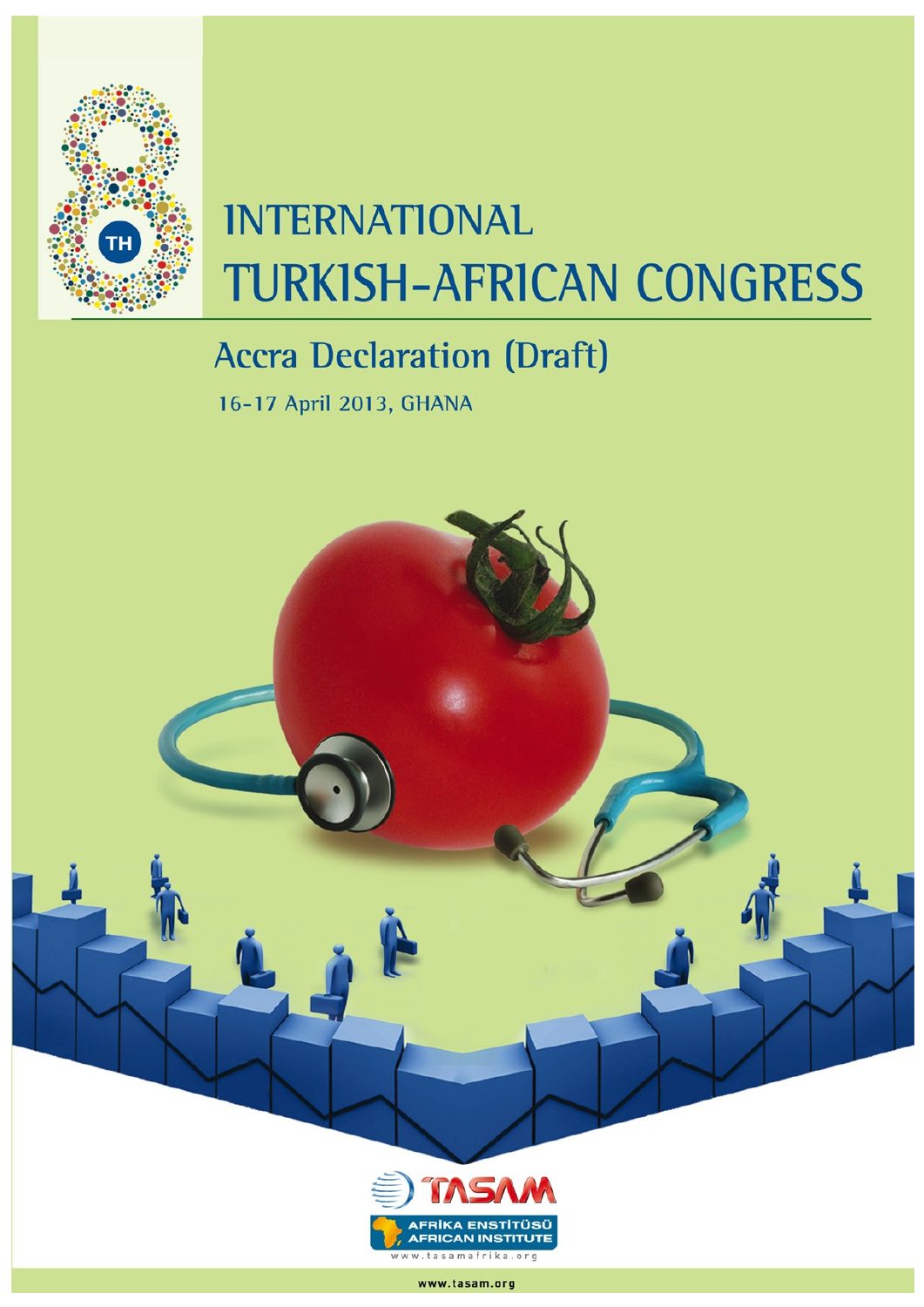

## **INTERNATIONAL TURKISH-AFRICAN CONGRESS**

## **Accra Declaration (Draft)**

16-17 April 2013, GHANA



www.tasam.org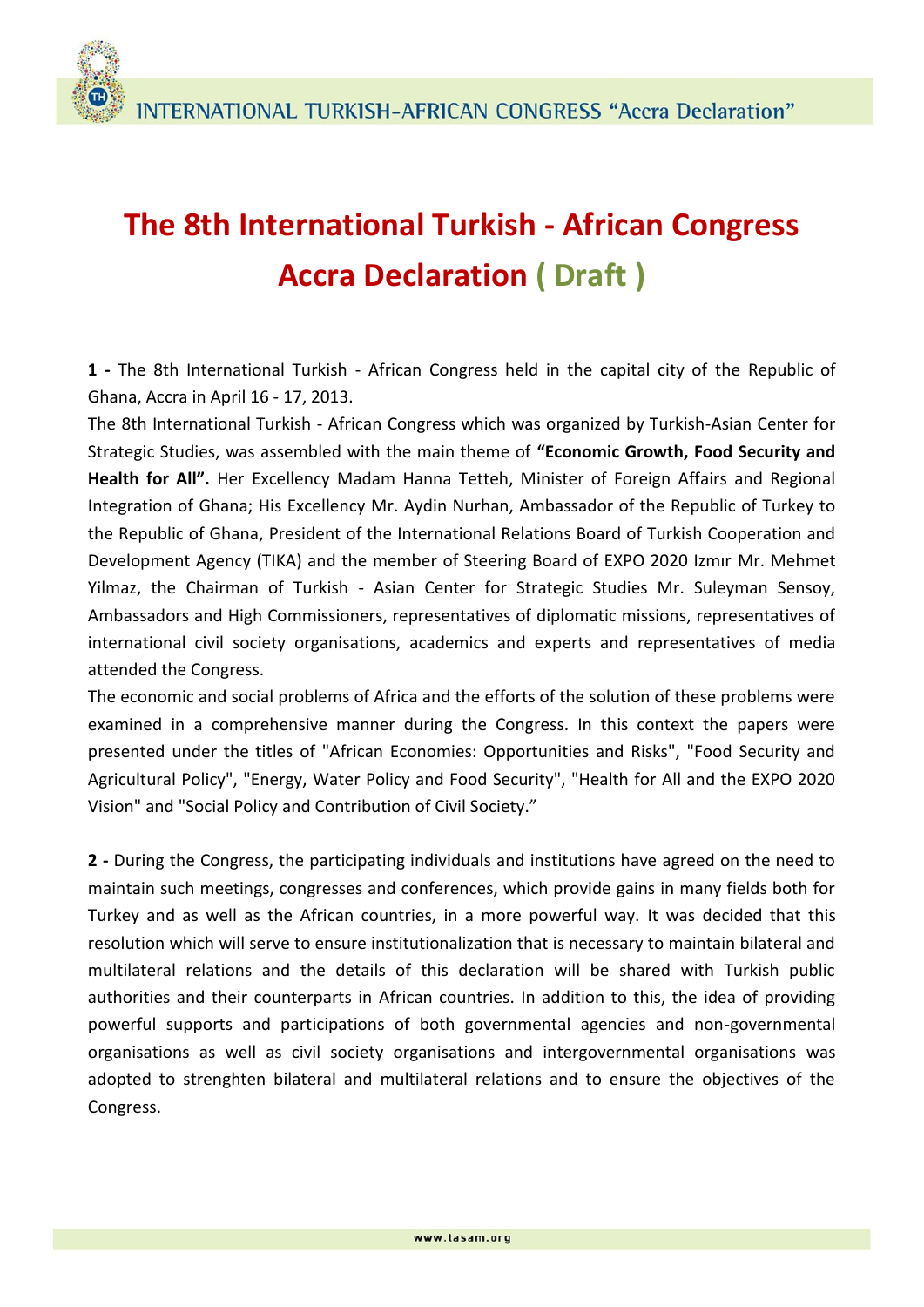## **The 8th International Turkish - African Congress Accra Declaration ( Draft )**

**1 -** The 8th International Turkish - African Congress held in the capital city of the Republic of Ghana, Accra in April 16 - 17, 2013.

The 8th International Turkish - African Congress which was organized by Turkish-Asian Center for Strategic Studies, was assembled with the main theme of **"Economic Growth, Food Security and Health for All".** Her Excellency Madam Hanna Tetteh, Minister of Foreign Affairs and Regional Integration of Ghana; His Excellency Mr. Aydin Nurhan, Ambassador of the Republic of Turkey to the Republic of Ghana, President of the International Relations Board of Turkish Cooperation and Development Agency (TIKA) and the member of Steering Board of EXPO 2020 Izmır Mr. Mehmet Yilmaz, the Chairman of Turkish - Asian Center for Strategic Studies Mr. Suleyman Sensoy, Ambassadors and High Commissioners, representatives of diplomatic missions, representatives of international civil society organisations, academics and experts and representatives of media attended the Congress.

The economic and social problems of Africa and the efforts of the solution of these problems were examined in a comprehensive manner during the Congress. In this context the papers were presented under the titles of "African Economies: Opportunities and Risks", "Food Security and Agricultural Policy", "Energy, Water Policy and Food Security", "Health for All and the EXPO 2020 Vision" and "Social Policy and Contribution of Civil Society."

**2 -** During the Congress, the participating individuals and institutions have agreed on the need to maintain such meetings, congresses and conferences, which provide gains in many fields both for Turkey and as well as the African countries, in a more powerful way. It was decided that this resolution which will serve to ensure institutionalization that is necessary to maintain bilateral and multilateral relations and the details of this declaration will be shared with Turkish public authorities and their counterparts in African countries. In addition to this, the idea of providing powerful supports and participations of both governmental agencies and non-governmental organisations as well as civil society organisations and intergovernmental organisations was adopted to strenghten bilateral and multilateral relations and to ensure the objectives of the Congress.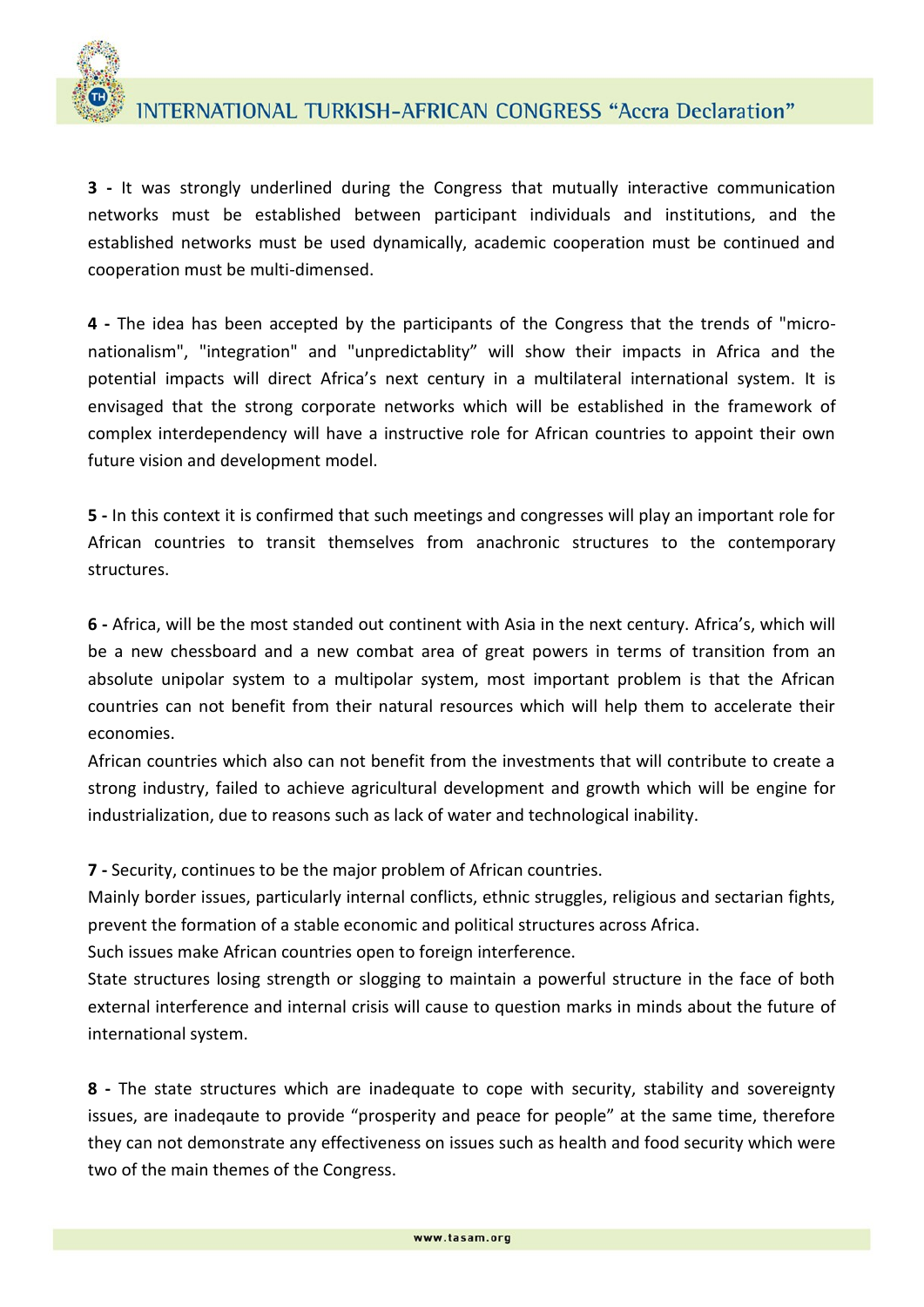

**3 -** It was strongly underlined during the Congress that mutually interactive communication networks must be established between participant individuals and institutions, and the established networks must be used dynamically, academic cooperation must be continued and cooperation must be multi-dimensed.

**4 -** The idea has been accepted by the participants of the Congress that the trends of "micronationalism", "integration" and "unpredictablity" will show their impacts in Africa and the potential impacts will direct Africa's next century in a multilateral international system. It is envisaged that the strong corporate networks which will be established in the framework of complex interdependency will have a instructive role for African countries to appoint their own future vision and development model.

**5 -** In this context it is confirmed that such meetings and congresses will play an important role for African countries to transit themselves from anachronic structures to the contemporary structures.

**6 -** Africa, will be the most standed out continent with Asia in the next century. Africa's, which will be a new chessboard and a new combat area of great powers in terms of transition from an absolute unipolar system to a multipolar system, most important problem is that the African countries can not benefit from their natural resources which will help them to accelerate their economies.

African countries which also can not benefit from the investments that will contribute to create a strong industry, failed to achieve agricultural development and growth which will be engine for industrialization, due to reasons such as lack of water and technological inability.

**7 -** Security, continues to be the major problem of African countries.

Mainly border issues, particularly internal conflicts, ethnic struggles, religious and sectarian fights, prevent the formation of a stable economic and political structures across Africa.

Such issues make African countries open to foreign interference.

State structures losing strength or slogging to maintain a powerful structure in the face of both external interference and internal crisis will cause to question marks in minds about the future of international system.

**8 -** The state structures which are inadequate to cope with security, stability and sovereignty issues, are inadeqaute to provide "prosperity and peace for people" at the same time, therefore they can not demonstrate any effectiveness on issues such as health and food security which were two of the main themes of the Congress.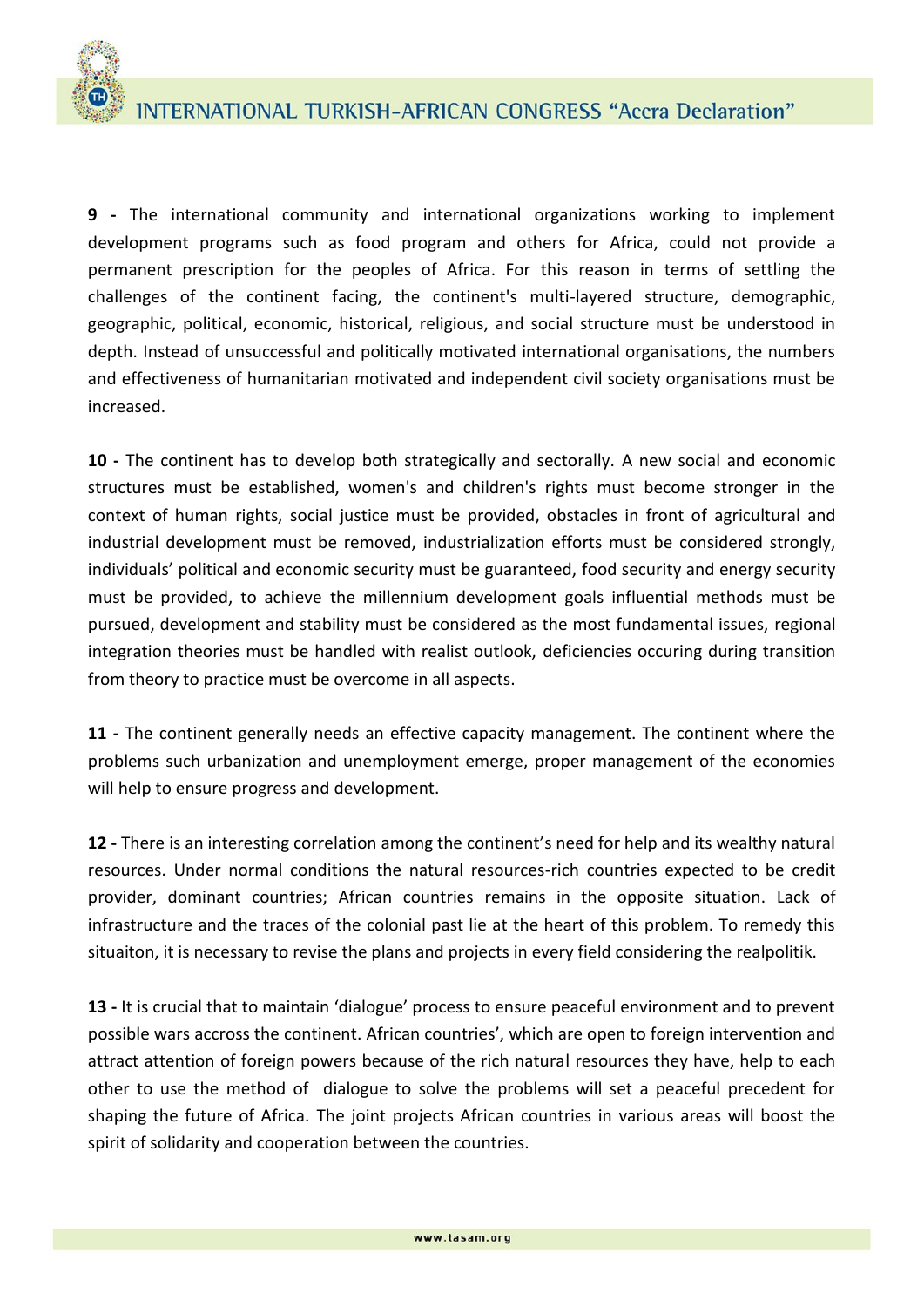**9 -** The international community and international organizations working to implement development programs such as food program and others for Africa, could not provide a permanent prescription for the peoples of Africa. For this reason in terms of settling the challenges of the continent facing, the continent's multi-layered structure, demographic, geographic, political, economic, historical, religious, and social structure must be understood in depth. Instead of unsuccessful and politically motivated international organisations, the numbers and effectiveness of humanitarian motivated and independent civil society organisations must be increased.

**10 -** The continent has to develop both strategically and sectorally. A new social and economic structures must be established, women's and children's rights must become stronger in the context of human rights, social justice must be provided, obstacles in front of agricultural and industrial development must be removed, industrialization efforts must be considered strongly, individuals' political and economic security must be guaranteed, food security and energy security must be provided, to achieve the millennium development goals influential methods must be pursued, development and stability must be considered as the most fundamental issues, regional integration theories must be handled with realist outlook, deficiencies occuring during transition from theory to practice must be overcome in all aspects.

**11 -** The continent generally needs an effective capacity management. The continent where the problems such urbanization and unemployment emerge, proper management of the economies will help to ensure progress and development.

**12 -** There is an interesting correlation among the continent's need for help and its wealthy natural resources. Under normal conditions the natural resources-rich countries expected to be credit provider, dominant countries; African countries remains in the opposite situation. Lack of infrastructure and the traces of the colonial past lie at the heart of this problem. To remedy this situaiton, it is necessary to revise the plans and projects in every field considering the realpolitik.

**13 -** It is crucial that to maintain 'dialogue' process to ensure peaceful environment and to prevent possible wars accross the continent. African countries', which are open to foreign intervention and attract attention of foreign powers because of the rich natural resources they have, help to each other to use the method of dialogue to solve the problems will set a peaceful precedent for shaping the future of Africa. The joint projects African countries in various areas will boost the spirit of solidarity and cooperation between the countries.